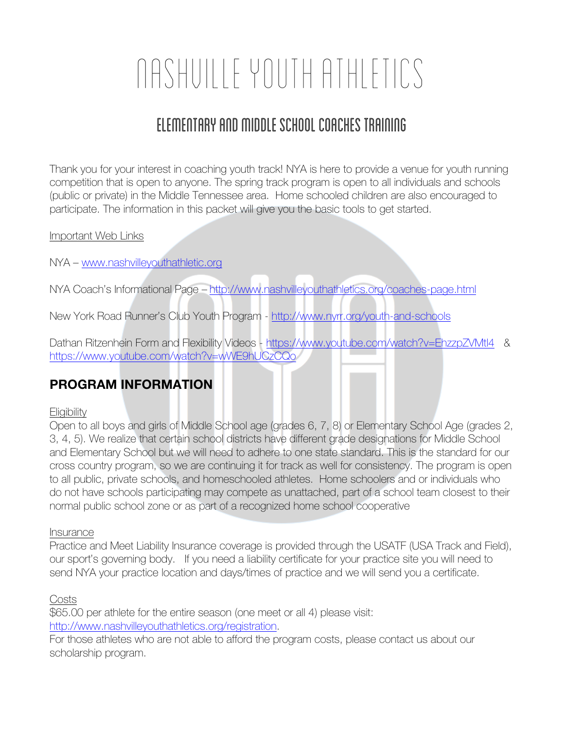# Nashville Youth Athletics

## Elementary and middle school coaches training

Thank you for your interest in coaching youth track! NYA is here to provide a venue for youth running competition that is open to anyone. The spring track program is open to all individuals and schools (public or private) in the Middle Tennessee area. Home schooled children are also encouraged to participate. The information in this packet will give you the basic tools to get started.

#### Important Web Links

NYA – www.nashvilleyouthathletic.org

NYA Coach's Informational Page - http://www.nashvilleyouthathletics.org/coaches-page.html

New York Road Runner's Club Youth Program - http://www.nyrr.org/youth-and-schools

Dathan Ritzenhein Form and Flexibility Videos - https://www.youtube.com/watch?v=EhzzpZVMtl4 & https://www.youtube.com/watch?v=wWE9hUCzCQo

## **PROGRAM INFORMATION**

#### **Eligibility**

Open to all boys and girls of Middle School age (grades 6, 7, 8) or Elementary School Age (grades 2, 3, 4, 5). We realize that certain school districts have different grade designations for Middle School and Elementary School but we will need to adhere to one state standard. This is the standard for our cross country program, so we are continuing it for track as well for consistency. The program is open to all public, private schools, and homeschooled athletes. Home schoolers and or individuals who do not have schools participating may compete as unattached, part of a school team closest to their normal public school zone or as part of a recognized home school cooperative

#### Insurance

Practice and Meet Liability Insurance coverage is provided through the USATF (USA Track and Field), our sport's governing body. If you need a liability certificate for your practice site you will need to send NYA your practice location and days/times of practice and we will send you a certificate.

Costs

\$65.00 per athlete for the entire season (one meet or all 4) please visit: http://www.nashvilleyouthathletics.org/registration.

For those athletes who are not able to afford the program costs, please contact us about our scholarship program.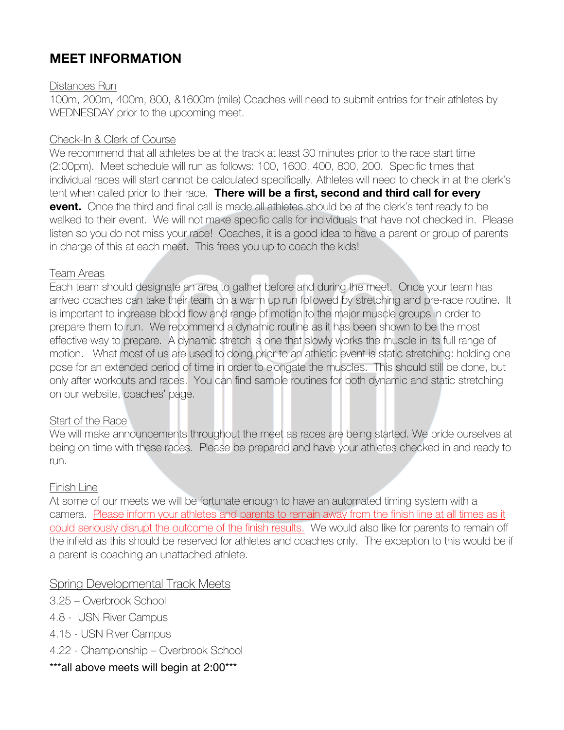## **MEET INFORMATION**

#### Distances Run

100m, 200m, 400m, 800, &1600m (mile) Coaches will need to submit entries for their athletes by WEDNESDAY prior to the upcoming meet.

#### Check-In & Clerk of Course

We recommend that all athletes be at the track at least 30 minutes prior to the race start time (2:00pm). Meet schedule will run as follows: 100, 1600, 400, 800, 200. Specific times that individual races will start cannot be calculated specifically. Athletes will need to check in at the clerk's tent when called prior to their race. **There will be a first, second and third call for every event.** Once the third and final call is made all athletes should be at the clerk's tent ready to be walked to their event. We will not make specific calls for individuals that have not checked in. Please listen so you do not miss your race! Coaches, it is a good idea to have a parent or group of parents in charge of this at each meet. This frees you up to coach the kids!

#### Team Areas

Each team should designate an area to gather before and during the meet. Once your team has arrived coaches can take their team on a warm up run followed by stretching and pre-race routine. It is important to increase blood flow and range of motion to the major muscle groups in order to prepare them to run. We recommend a dynamic routine as it has been shown to be the most effective way to prepare. A dynamic stretch is one that slowly works the muscle in its full range of motion. What most of us are used to doing prior to an athletic event is static stretching: holding one pose for an extended period of time in order to elongate the muscles. This should still be done, but only after workouts and races. You can find sample routines for both dynamic and static stretching on our website, coaches' page.

#### Start of the Race

We will make announcements throughout the meet as races are being started. We pride ourselves at being on time with these races. Please be prepared and have your athletes checked in and ready to run.

#### Finish Line

At some of our meets we will be fortunate enough to have an automated timing system with a camera. Please inform your athletes and parents to remain away from the finish line at all times as it could seriously disrupt the outcome of the finish results. We would also like for parents to remain off the infield as this should be reserved for athletes and coaches only. The exception to this would be if a parent is coaching an unattached athlete.

#### Spring Developmental Track Meets

- 3.25 Overbrook School
- 4.8 USN River Campus
- 4.15 USN River Campus
- 4.22 Championship Overbrook School
- \*\*\*all above meets will begin at 2:00\*\*\*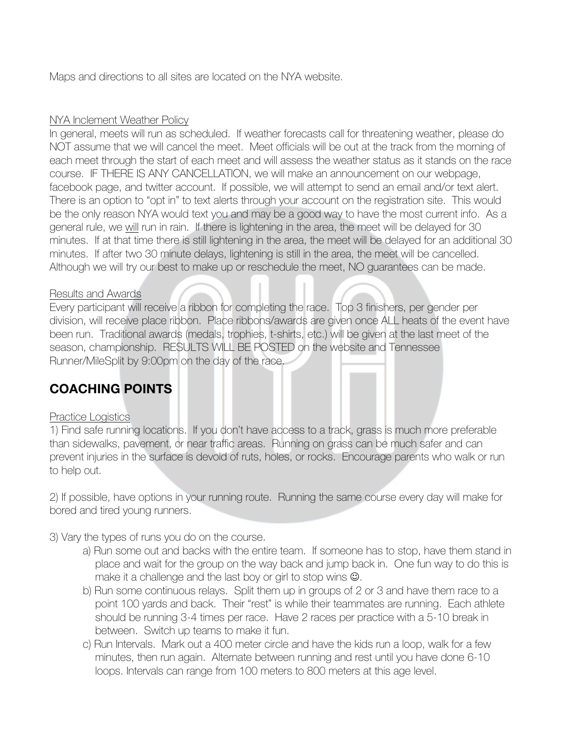Maps and directions to all sites are located on the NYA website.

#### NYA Inclement Weather Policy

In general, meets will run as scheduled. If weather forecasts call for threatening weather, please do NOT assume that we will cancel the meet. Meet officials will be out at the track from the morning of each meet through the start of each meet and will assess the weather status as it stands on the race course. IF THERE IS ANY CANCELLATION, we will make an announcement on our webpage, facebook page, and twitter account. If possible, we will attempt to send an email and/or text alert. There is an option to "opt in" to text alerts through your account on the registration site. This would be the only reason NYA would text you and may be a good way to have the most current info. As a general rule, we will run in rain. If there is lightening in the area, the meet will be delayed for 30 minutes. If at that time there is still lightening in the area, the meet will be delayed for an additional 30 minutes. If after two 30 minute delays, lightening is still in the area, the meet will be cancelled. Although we will try our best to make up or reschedule the meet, NO guarantees can be made.

#### Results and Awards

Every participant will receive a ribbon for completing the race. Top 3 finishers, per gender per division, will receive place ribbon. Place ribbons/awards are given once ALL heats of the event have been run. Traditional awards (medals, trophies, t-shirts, etc.) will be given at the last meet of the season, championship. RESULTS WILL BE POSTED on the website and Tennessee Runner/MileSplit by 9:00pm on the day of the race.

## **COACHING POINTS**

#### Practice Logistics

1) Find safe running locations. If you don't have access to a track, grass is much more preferable than sidewalks, pavement, or near traffic areas. Running on grass can be much safer and can prevent injuries in the surface is devoid of ruts, holes, or rocks. Encourage parents who walk or run to help out.

2) If possible, have options in your running route. Running the same course every day will make for bored and tired young runners.

3) Vary the types of runs you do on the course.

- a) Run some out and backs with the entire team. If someone has to stop, have them stand in place and wait for the group on the way back and jump back in. One fun way to do this is make it a challenge and the last boy or girl to stop wins  $\odot$ .
- b) Run some continuous relays. Split them up in groups of 2 or 3 and have them race to a point 100 yards and back. Their "rest" is while their teammates are running. Each athlete should be running 3-4 times per race. Have 2 races per practice with a 5-10 break in between. Switch up teams to make it fun.
- c) Run Intervals. Mark out a 400 meter circle and have the kids run a loop, walk for a few minutes, then run again. Alternate between running and rest until you have done 6-10 loops. Intervals can range from 100 meters to 800 meters at this age level.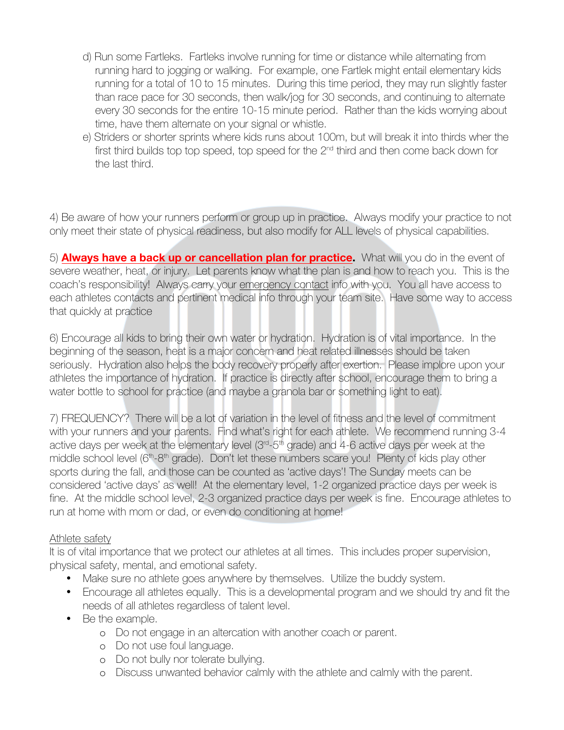- d) Run some Fartleks. Fartleks involve running for time or distance while alternating from running hard to jogging or walking. For example, one Fartlek might entail elementary kids running for a total of 10 to 15 minutes. During this time period, they may run slightly faster than race pace for 30 seconds, then walk/jog for 30 seconds, and continuing to alternate every 30 seconds for the entire 10-15 minute period. Rather than the kids worrying about time, have them alternate on your signal or whistle.
- e) Striders or shorter sprints where kids runs about 100m, but will break it into thirds wher the first third builds top top speed, top speed for the 2<sup>nd</sup> third and then come back down for the last third.

4) Be aware of how your runners perform or group up in practice. Always modify your practice to not only meet their state of physical readiness, but also modify for ALL levels of physical capabilities.

5) **Always have a back up or cancellation plan for practice.** What will you do in the event of severe weather, heat, or injury. Let parents know what the plan is and how to reach you. This is the coach's responsibility! Always carry your emergency contact info with you. You all have access to each athletes contacts and pertinent medical info through your team site. Have some way to access that quickly at practice

6) Encourage all kids to bring their own water or hydration. Hydration is of vital importance. In the beginning of the season, heat is a major concern and heat related illnesses should be taken seriously. Hydration also helps the body recovery properly after exertion. Please implore upon your athletes the importance of hydration. If practice is directly after school, encourage them to bring a water bottle to school for practice (and maybe a granola bar or something light to eat).

7) FREQUENCY? There will be a lot of variation in the level of fitness and the level of commitment with your runners and your parents. Find what's right for each athlete. We recommend running 3-4 active days per week at the elementary level  $(3<sup>rd</sup>-5<sup>th</sup>)$  grade) and 4-6 active days per week at the middle school level (6<sup>th</sup>-8<sup>th</sup> grade). Don't let these numbers scare you! Plenty of kids play other sports during the fall, and those can be counted as 'active days'! The Sunday meets can be considered 'active days' as well! At the elementary level, 1-2 organized practice days per week is fine. At the middle school level, 2-3 organized practice days per week is fine. Encourage athletes to run at home with mom or dad, or even do conditioning at home!

#### Athlete safety

It is of vital importance that we protect our athletes at all times. This includes proper supervision, physical safety, mental, and emotional safety.

- Make sure no athlete goes anywhere by themselves. Utilize the buddy system.
- Encourage all athletes equally. This is a developmental program and we should try and fit the needs of all athletes regardless of talent level.
- Be the example.
	- o Do not engage in an altercation with another coach or parent.
	- o Do not use foul language.
	- o Do not bully nor tolerate bullying.
	- o Discuss unwanted behavior calmly with the athlete and calmly with the parent.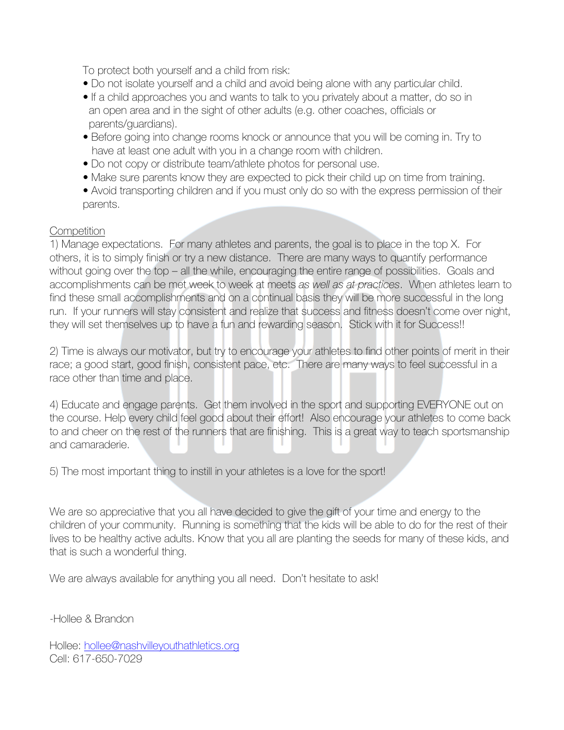To protect both yourself and a child from risk:

- Do not isolate yourself and a child and avoid being alone with any particular child.
- If a child approaches you and wants to talk to you privately about a matter, do so in an open area and in the sight of other adults (e.g. other coaches, officials or parents/guardians).
- Before going into change rooms knock or announce that you will be coming in. Try to have at least one adult with you in a change room with children.
- Do not copy or distribute team/athlete photos for personal use.
- Make sure parents know they are expected to pick their child up on time from training.
- Avoid transporting children and if you must only do so with the express permission of their parents.

#### **Competition**

1) Manage expectations. For many athletes and parents, the goal is to place in the top X. For others, it is to simply finish or try a new distance. There are many ways to quantify performance without going over the top – all the while, encouraging the entire range of possibilities. Goals and accomplishments can be met week to week at meets *as well as at practices*. When athletes learn to find these small accomplishments and on a continual basis they will be more successful in the long run. If your runners will stay consistent and realize that success and fitness doesn't come over night, they will set themselves up to have a fun and rewarding season. Stick with it for Success!!

2) Time is always our motivator, but try to encourage your athletes to find other points of merit in their race; a good start, good finish, consistent pace, etc. There are many ways to feel successful in a race other than time and place.

4) Educate and engage parents. Get them involved in the sport and supporting EVERYONE out on the course. Help every child feel good about their effort! Also encourage your athletes to come back to and cheer on the rest of the runners that are finishing. This is a great way to teach sportsmanship and camaraderie.

5) The most important thing to instill in your athletes is a love for the sport!

We are so appreciative that you all have decided to give the gift of your time and energy to the children of your community. Running is something that the kids will be able to do for the rest of their lives to be healthy active adults. Know that you all are planting the seeds for many of these kids, and that is such a wonderful thing.

We are always available for anything you all need. Don't hesitate to ask!

-Hollee & Brandon

Hollee: hollee@nashvilleyouthathletics.org Cell: 617-650-7029